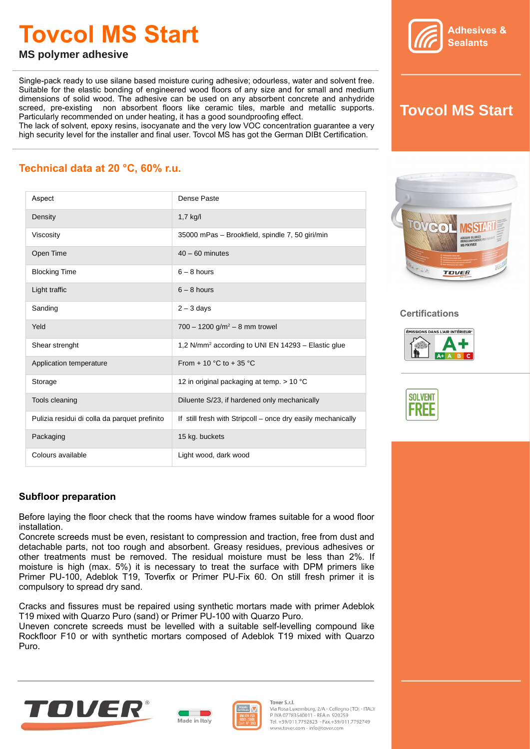# **Tovcol MS Start**



**MS polymer adhesive**

Single-pack ready to use silane based moisture curing adhesive; odourless, water and solvent free. Suitable for the elastic bonding of engineered wood floors of any size and for small and medium dimensions of solid wood. The adhesive can be used on any absorbent concrete and anhydride screed, pre-existing non absorbent floors like ceramic tiles, marble and metallic supports. Particularly recommended on under heating, it has a good soundproofing effect.

The lack of solvent, epoxy resins, isocyanate and the very low VOC concentration guarantee a very high security level for the installer and final user. Tovcol MS has got the German DIBt Certification.

## **Tovcol MS Start**

### **Technical data at 20 °C, 60% r.u.**

| Aspect                                        | Dense Paste                                                    |
|-----------------------------------------------|----------------------------------------------------------------|
| Density                                       | $1,7$ kg/l                                                     |
| Viscosity                                     | 35000 mPas - Brookfield, spindle 7, 50 giri/min                |
| Open Time                                     | $40 - 60$ minutes                                              |
| <b>Blocking Time</b>                          | $6 - 8$ hours                                                  |
| Light traffic                                 | $6 - 8$ hours                                                  |
| Sanding                                       | $2 - 3$ days                                                   |
| Yeld                                          | 700 - 1200 g/m <sup>2</sup> - 8 mm trowel                      |
| Shear strenght                                | 1,2 N/mm <sup>2</sup> according to UNI EN 14293 - Elastic glue |
| Application temperature                       | From $+10$ °C to $+35$ °C                                      |
| Storage                                       | 12 in original packaging at temp. $>$ 10 °C                    |
| Tools cleaning                                | Diluente S/23, if hardened only mechanically                   |
| Pulizia residui di colla da parquet prefinito | If still fresh with Stripcoll – once dry easily mechanically   |
| Packaging                                     | 15 kg. buckets                                                 |
| Colours available                             | Light wood, dark wood                                          |



#### **Certifications**





#### **Subfloor preparation**

Before laying the floor check that the rooms have window frames suitable for a wood floor installation.

Concrete screeds must be even, resistant to compression and traction, free from dust and detachable parts, not too rough and absorbent. Greasy residues, previous adhesives or other treatments must be removed. The residual moisture must be less than 2%. If moisture is high (max. 5%) it is necessary to treat the surface with DPM primers like Primer PU-100, Adeblok T19, Toverfix or Primer PU-Fix 60. On still fresh primer it is compulsory to spread dry sand.

Cracks and fissures must be repaired using synthetic mortars made with primer Adeblok T19 mixed with Quarzo Puro (sand) or Primer PU-100 with Quarzo Puro.

Uneven concrete screeds must be levelled with a suitable self-levelling compound like Rockfloor F10 or with synthetic mortars composed of Adeblok T19 mixed with Quarzo Puro.







Tover S.r.l. Via Rosa Luxemburg, 2/A - Collegno (TO) - ITALY P. IVA 07783540011 - REA n. 920259 Tel. +39/011.7792823 - Fax.+39/011.7792749 www.tover.com - info@tover.com